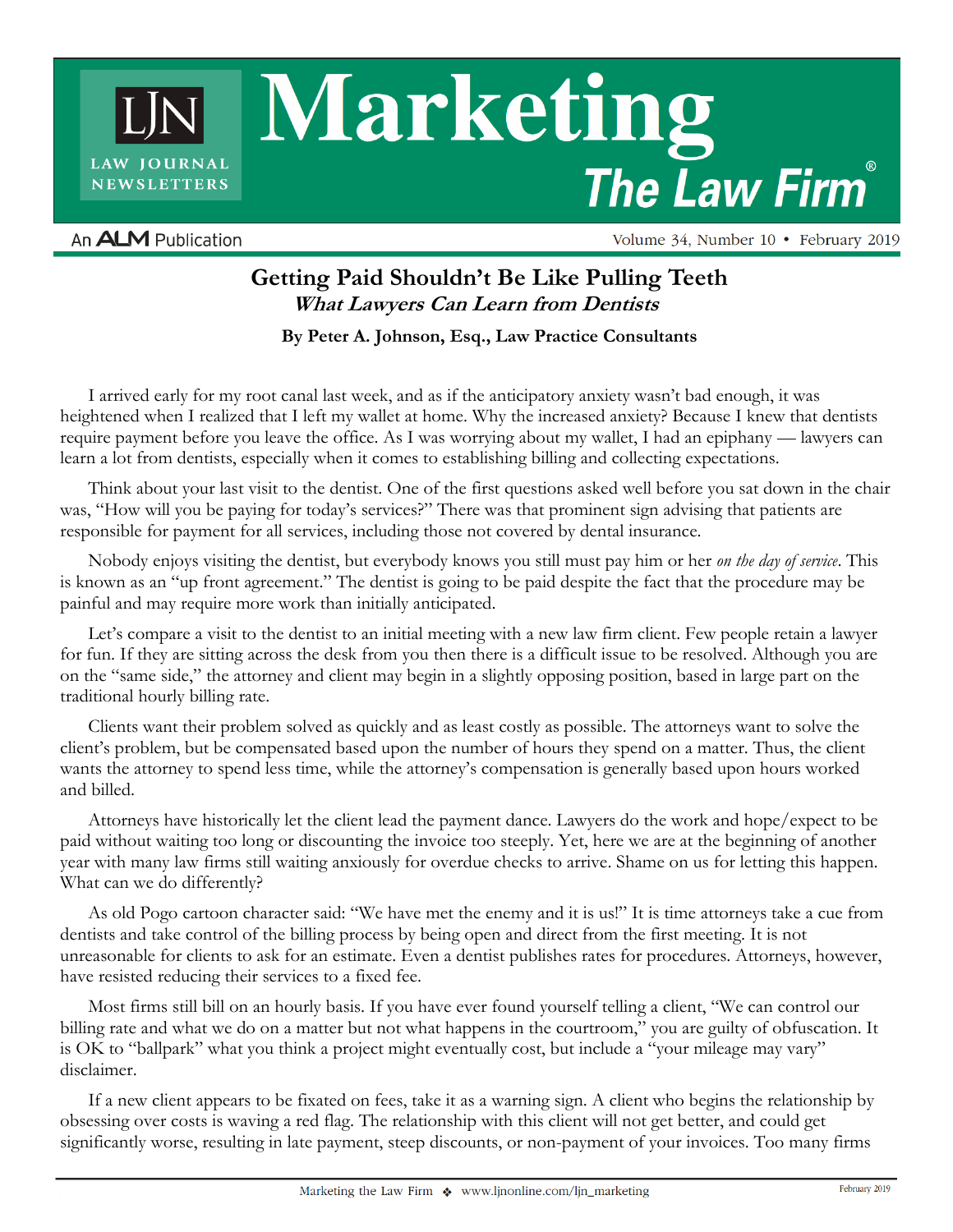Marketing LAW JOURNAL **The Law Firm NEWSLETTERS** 

An **ALM** Publication

Volume 34, Number 10 • February 2019

## **Getting Paid Shouldn't Be Like Pulling Teeth What Lawyers Can Learn from Dentists**

**By Peter A. Johnson, Esq., Law Practice Consultants**

I arrived early for my root canal last week, and as if the anticipatory anxiety wasn't bad enough, it was heightened when I realized that I left my wallet at home. Why the increased anxiety? Because I knew that dentists require payment before you leave the office. As I was worrying about my wallet, I had an epiphany — lawyers can learn a lot from dentists, especially when it comes to establishing billing and collecting expectations.

Think about your last visit to the dentist. One of the first questions asked well before you sat down in the chair was, "How will you be paying for today's services?" There was that prominent sign advising that patients are responsible for payment for all services, including those not covered by dental insurance.

Nobody enjoys visiting the dentist, but everybody knows you still must pay him or her *on the day of service*. This is known as an "up front agreement." The dentist is going to be paid despite the fact that the procedure may be painful and may require more work than initially anticipated.

Let's compare a visit to the dentist to an initial meeting with a new law firm client. Few people retain a lawyer for fun. If they are sitting across the desk from you then there is a difficult issue to be resolved. Although you are on the "same side," the attorney and client may begin in a slightly opposing position, based in large part on the traditional hourly billing rate.

Clients want their problem solved as quickly and as least costly as possible. The attorneys want to solve the client's problem, but be compensated based upon the number of hours they spend on a matter. Thus, the client wants the attorney to spend less time, while the attorney's compensation is generally based upon hours worked and billed.

Attorneys have historically let the client lead the payment dance. Lawyers do the work and hope/expect to be paid without waiting too long or discounting the invoice too steeply. Yet, here we are at the beginning of another year with many law firms still waiting anxiously for overdue checks to arrive. Shame on us for letting this happen. What can we do differently?

As old Pogo cartoon character said: "We have met the enemy and it is us!" It is time attorneys take a cue from dentists and take control of the billing process by being open and direct from the first meeting. It is not unreasonable for clients to ask for an estimate. Even a dentist publishes rates for procedures. Attorneys, however, have resisted reducing their services to a fixed fee.

Most firms still bill on an hourly basis. If you have ever found yourself telling a client, "We can control our billing rate and what we do on a matter but not what happens in the courtroom," you are guilty of obfuscation. It is OK to "ballpark" what you think a project might eventually cost, but include a "your mileage may vary" disclaimer.

If a new client appears to be fixated on fees, take it as a warning sign. A client who begins the relationship by obsessing over costs is waving a red flag. The relationship with this client will not get better, and could get significantly worse, resulting in late payment, steep discounts, or non-payment of your invoices. Too many firms